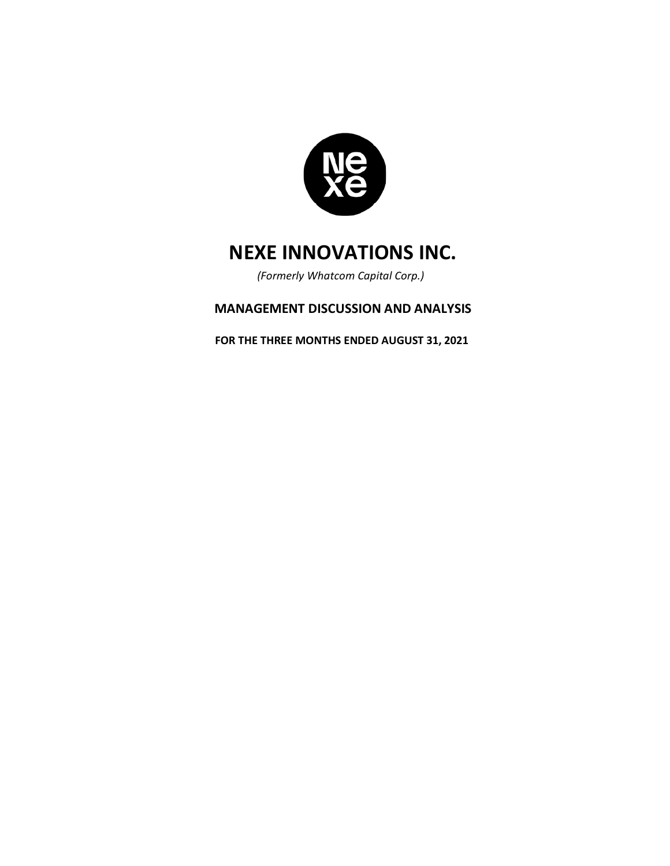

*(Formerly Whatcom Capital Corp.)*

## **MANAGEMENT DISCUSSION AND ANALYSIS**

**FOR THE THREE MONTHS ENDED AUGUST 31, 2021**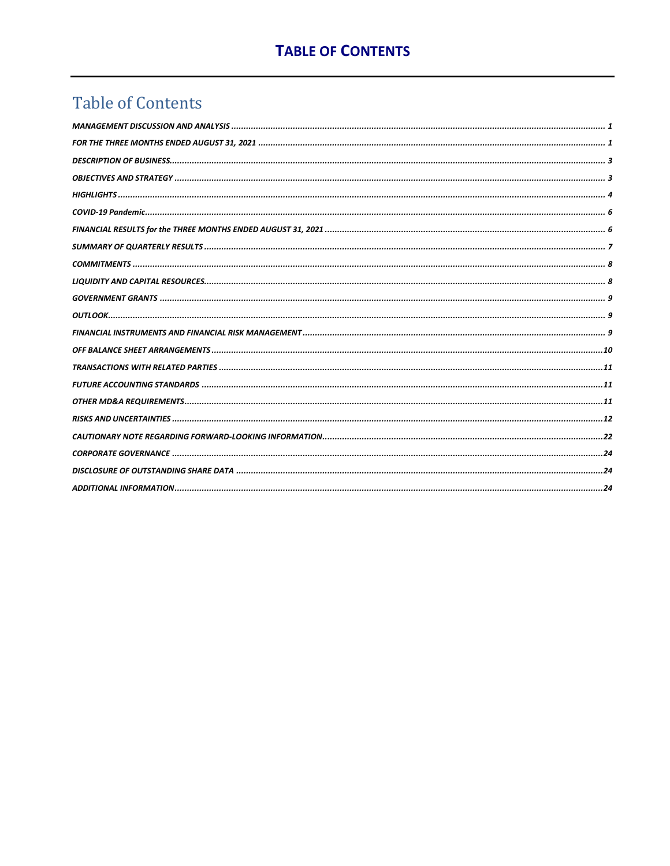## **Table of Contents**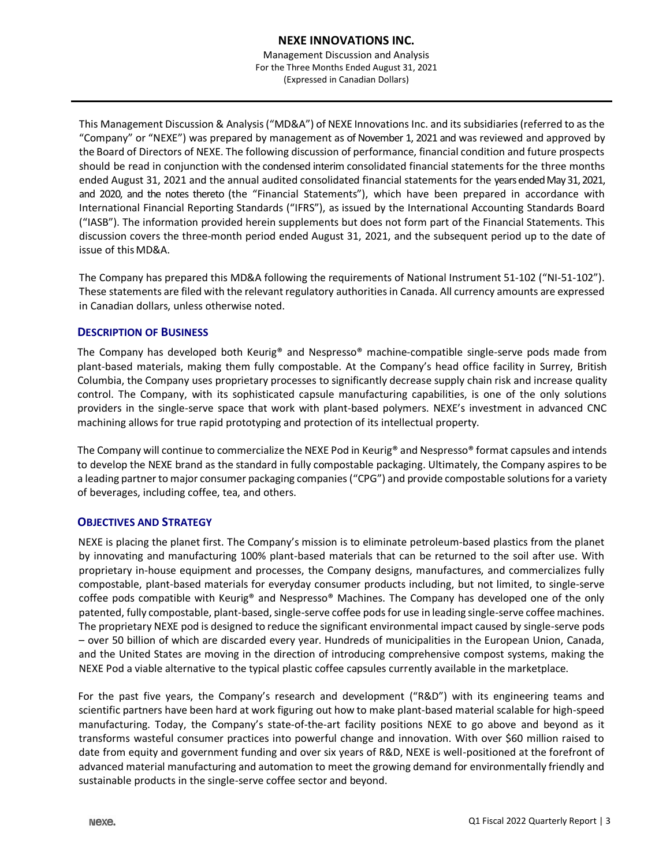Management Discussion and Analysis For the Three Months Ended August 31, 2021 (Expressed in Canadian Dollars)

This Management Discussion & Analysis ("MD&A") of NEXE Innovations Inc. and its subsidiaries (referred to as the "Company" or "NEXE") was prepared by management as of November 1, 2021 and was reviewed and approved by the Board of Directors of NEXE. The following discussion of performance, financial condition and future prospects should be read in conjunction with the condensed interim consolidated financial statements for the three months ended August 31, 2021 and the annual audited consolidated financial statements for the yearsended May 31, 2021, and 2020, and the notes thereto (the "Financial Statements"), which have been prepared in accordance with International Financial Reporting Standards ("IFRS"), as issued by the International Accounting Standards Board ("IASB"). The information provided herein supplements but does not form part of the Financial Statements. This discussion covers the three-month period ended August 31, 2021, and the subsequent period up to the date of issue of this MD&A.

The Company has prepared this MD&A following the requirements of National Instrument 51-102 ("NI-51-102"). These statements are filed with the relevant regulatory authorities in Canada. All currency amounts are expressed in Canadian dollars, unless otherwise noted.

## **DESCRIPTION OF BUSINESS**

The Company has developed both Keurig® and Nespresso® machine-compatible single-serve pods made from plant-based materials, making them fully compostable. At the Company's head office facility in Surrey, British Columbia, the Company uses proprietary processes to significantly decrease supply chain risk and increase quality control. The Company, with its sophisticated capsule manufacturing capabilities, is one of the only solutions providers in the single-serve space that work with plant-based polymers. NEXE's investment in advanced CNC machining allows for true rapid prototyping and protection of its intellectual property.

The Company will continue to commercialize the NEXE Pod in Keurig® and Nespresso® format capsules and intends to develop the NEXE brand as the standard in fully compostable packaging. Ultimately, the Company aspires to be a leading partner to major consumer packaging companies ("CPG") and provide compostable solutions for a variety of beverages, including coffee, tea, and others.

## **OBJECTIVES AND STRATEGY**

NEXE is placing the planet first. The Company's mission is to eliminate petroleum-based plastics from the planet by innovating and manufacturing 100% plant-based materials that can be returned to the soil after use. With proprietary in-house equipment and processes, the Company designs, manufactures, and commercializes fully compostable, plant-based materials for everyday consumer products including, but not limited, to single-serve coffee pods compatible with Keurig® and Nespresso® Machines. The Company has developed one of the only patented, fully compostable, plant-based, single-serve coffee pods for use in leading single-serve coffee machines. The proprietary NEXE pod is designed to reduce the significant environmental impact caused by single-serve pods – over 50 billion of which are discarded every year. Hundreds of municipalities in the European Union, Canada, and the United States are moving in the direction of introducing comprehensive compost systems, making the NEXE Pod a viable alternative to the typical plastic coffee capsules currently available in the marketplace.

For the past five years, the Company's research and development ("R&D") with its engineering teams and scientific partners have been hard at work figuring out how to make plant-based material scalable for high-speed manufacturing. Today, the Company's state-of-the-art facility positions NEXE to go above and beyond as it transforms wasteful consumer practices into powerful change and innovation. With over \$60 million raised to date from equity and government funding and over six years of R&D, NEXE is well-positioned at the forefront of advanced material manufacturing and automation to meet the growing demand for environmentally friendly and sustainable products in the single-serve coffee sector and beyond.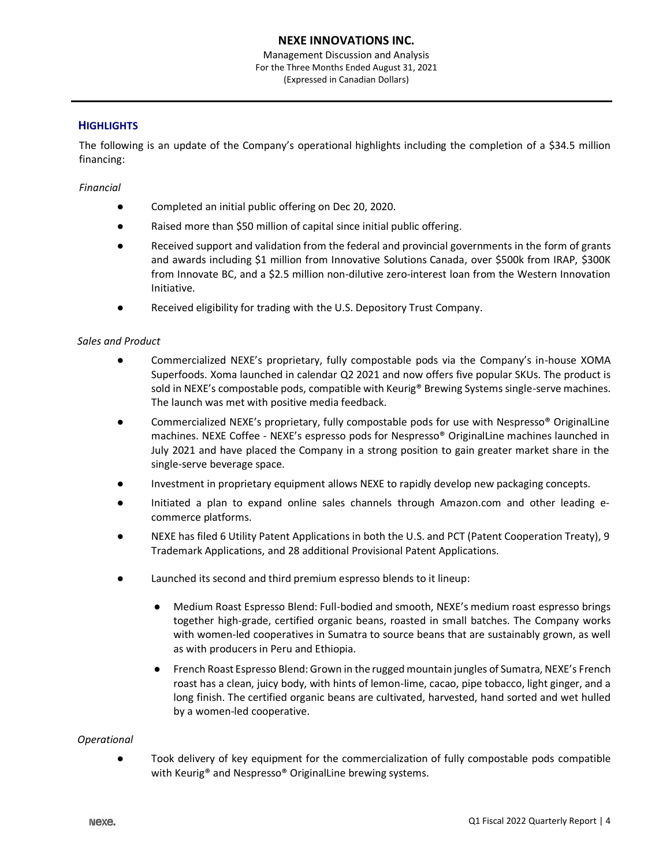Management Discussion and Analysis For the Three Months Ended August 31, 2021 (Expressed in Canadian Dollars)

## **HIGHLIGHTS**

The following is an update of the Company's operational highlights including the completion of a \$34.5 million financing:

## *Financial*

- Completed an initial public offering on Dec 20, 2020.
- Raised more than \$50 million of capital since initial public offering.
- Received support and validation from the federal and provincial governments in the form of grants and awards including \$1 million from Innovative Solutions Canada, over \$500k from IRAP, \$300K from Innovate BC, and a \$2.5 million non-dilutive zero-interest loan from the Western Innovation Initiative.
- Received eligibility for trading with the U.S. Depository Trust Company.

## *Sales and Product*

- Commercialized NEXE's proprietary, fully compostable pods via the Company's in-house XOMA Superfoods. Xoma launched in calendar Q2 2021 and now offers five popular SKUs. The product is sold in NEXE's compostable pods, compatible with Keurig® Brewing Systems single-serve machines. The launch was met with positive media feedback.
- Commercialized NEXE's proprietary, fully compostable pods for use with Nespresso<sup>®</sup> OriginalLine machines. NEXE Coffee - NEXE's espresso pods for Nespresso® OriginalLine machines launched in July 2021 and have placed the Company in a strong position to gain greater market share in the single-serve beverage space.
- Investment in proprietary equipment allows NEXE to rapidly develop new packaging concepts.
- Initiated a plan to expand online sales channels through Amazon.com and other leading ecommerce platforms.
- NEXE has filed 6 Utility Patent Applications in both the U.S. and PCT (Patent Cooperation Treaty), 9 Trademark Applications, and 28 additional Provisional Patent Applications.
- Launched its second and third premium espresso blends to it lineup:
	- Medium Roast Espresso Blend: Full-bodied and smooth, NEXE's medium roast espresso brings together high-grade, certified organic beans, roasted in small batches. The Company works with women-led cooperatives in Sumatra to source beans that are sustainably grown, as well as with producers in Peru and Ethiopia.
	- French Roast Espresso Blend: Grown in the rugged mountain jungles of Sumatra, NEXE's French roast has a clean, juicy body, with hints of lemon-lime, cacao, pipe tobacco, light ginger, and a long finish. The certified organic beans are cultivated, harvested, hand sorted and wet hulled by a women-led cooperative.

#### *Operational*

● Took delivery of key equipment for the commercialization of fully compostable pods compatible with Keurig<sup>®</sup> and Nespresso<sup>®</sup> OriginalLine brewing systems.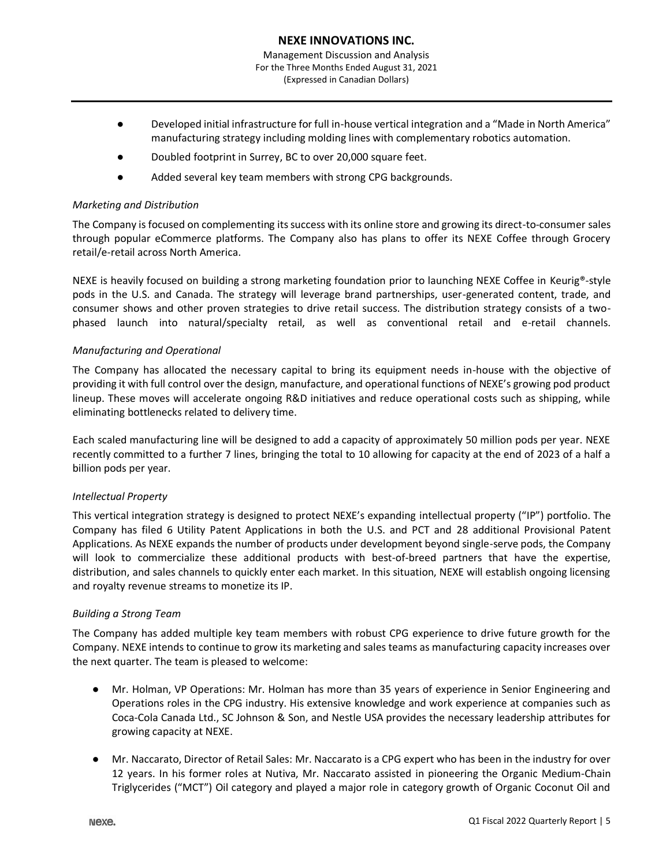- (Expressed in Canadian Dollars)
- Developed initial infrastructure for full in-house vertical integration and a "Made in North America" manufacturing strategy including molding lines with complementary robotics automation.
- Doubled footprint in Surrey, BC to over 20,000 square feet.
- Added several key team members with strong CPG backgrounds.

## *Marketing and Distribution*

The Company is focused on complementing its success with its online store and growing its direct-to-consumer sales through popular eCommerce platforms. The Company also has plans to offer its NEXE Coffee through Grocery retail/e-retail across North America.

NEXE is heavily focused on building a strong marketing foundation prior to launching NEXE Coffee in Keurig®-style pods in the U.S. and Canada. The strategy will leverage brand partnerships, user-generated content, trade, and consumer shows and other proven strategies to drive retail success. The distribution strategy consists of a twophased launch into natural/specialty retail, as well as conventional retail and e-retail channels.

## *Manufacturing and Operational*

The Company has allocated the necessary capital to bring its equipment needs in-house with the objective of providing it with full control over the design, manufacture, and operational functions of NEXE's growing pod product lineup. These moves will accelerate ongoing R&D initiatives and reduce operational costs such as shipping, while eliminating bottlenecks related to delivery time.

Each scaled manufacturing line will be designed to add a capacity of approximately 50 million pods per year. NEXE recently committed to a further 7 lines, bringing the total to 10 allowing for capacity at the end of 2023 of a half a billion pods per year.

## *Intellectual Property*

This vertical integration strategy is designed to protect NEXE's expanding intellectual property ("IP") portfolio. The Company has filed 6 Utility Patent Applications in both the U.S. and PCT and 28 additional Provisional Patent Applications. As NEXE expands the number of products under development beyond single-serve pods, the Company will look to commercialize these additional products with best-of-breed partners that have the expertise, distribution, and sales channels to quickly enter each market. In this situation, NEXE will establish ongoing licensing and royalty revenue streams to monetize its IP.

## *Building a Strong Team*

The Company has added multiple key team members with robust CPG experience to drive future growth for the Company. NEXE intends to continue to grow its marketing and sales teams as manufacturing capacity increases over the next quarter. The team is pleased to welcome:

- Mr. Holman, VP Operations: Mr. Holman has more than 35 years of experience in Senior Engineering and Operations roles in the CPG industry. His extensive knowledge and work experience at companies such as Coca-Cola Canada Ltd., SC Johnson & Son, and Nestle USA provides the necessary leadership attributes for growing capacity at NEXE.
- Mr. Naccarato, Director of Retail Sales: Mr. Naccarato is a CPG expert who has been in the industry for over 12 years. In his former roles at Nutiva, Mr. Naccarato assisted in pioneering the Organic Medium-Chain Triglycerides ("MCT") Oil category and played a major role in category growth of Organic Coconut Oil and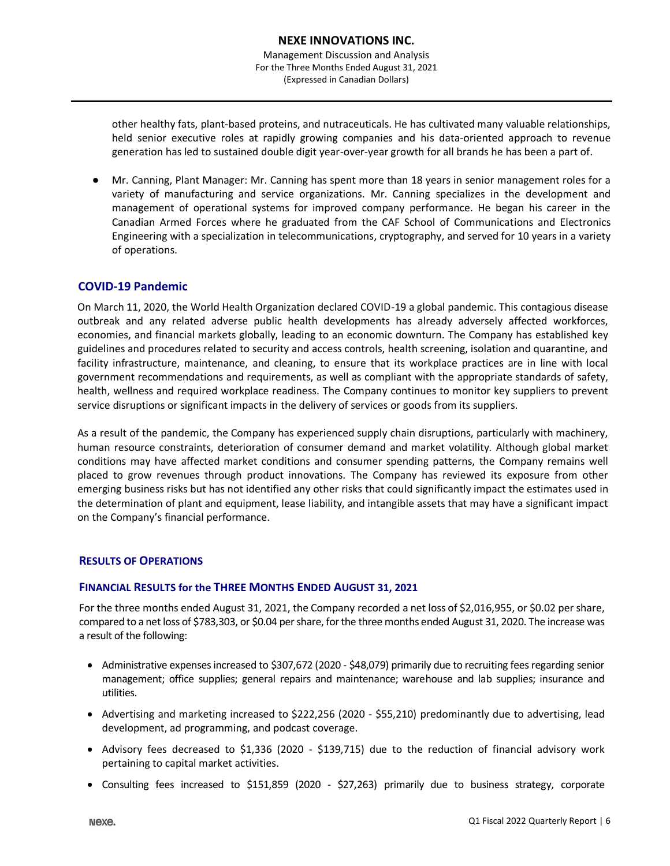other healthy fats, plant-based proteins, and nutraceuticals. He has cultivated many valuable relationships, held senior executive roles at rapidly growing companies and his data-oriented approach to revenue generation has led to sustained double digit year-over-year growth for all brands he has been a part of.

Mr. Canning, Plant Manager: Mr. Canning has spent more than 18 years in senior management roles for a variety of manufacturing and service organizations. Mr. Canning specializes in the development and management of operational systems for improved company performance. He began his career in the Canadian Armed Forces where he graduated from the CAF School of Communications and Electronics Engineering with a specialization in telecommunications, cryptography, and served for 10 years in a variety of operations.

## **COVID-19 Pandemic**

On March 11, 2020, the World Health Organization declared COVID-19 a global pandemic. This contagious disease outbreak and any related adverse public health developments has already adversely affected workforces, economies, and financial markets globally, leading to an economic downturn. The Company has established key guidelines and procedures related to security and access controls, health screening, isolation and quarantine, and facility infrastructure, maintenance, and cleaning, to ensure that its workplace practices are in line with local government recommendations and requirements, as well as compliant with the appropriate standards of safety, health, wellness and required workplace readiness. The Company continues to monitor key suppliers to prevent service disruptions or significant impacts in the delivery of services or goods from its suppliers.

As a result of the pandemic, the Company has experienced supply chain disruptions, particularly with machinery, human resource constraints, deterioration of consumer demand and market volatility. Although global market conditions may have affected market conditions and consumer spending patterns, the Company remains well placed to grow revenues through product innovations. The Company has reviewed its exposure from other emerging business risks but has not identified any other risks that could significantly impact the estimates used in the determination of plant and equipment, lease liability, and intangible assets that may have a significant impact on the Company's financial performance.

## **RESULTS OF OPERATIONS**

#### **FINANCIAL RESULTS for the THREE MONTHS ENDED AUGUST 31, 2021**

For the three months ended August 31, 2021, the Company recorded a net loss of \$2,016,955, or \$0.02 per share, compared to a net loss of \$783,303, or \$0.04 per share, for the three months ended August 31, 2020. The increase was a result of the following:

- Administrative expenses increased to \$307,672 (2020 \$48,079) primarily due to recruiting fees regarding senior management; office supplies; general repairs and maintenance; warehouse and lab supplies; insurance and utilities.
- Advertising and marketing increased to \$222,256 (2020 \$55,210) predominantly due to advertising, lead development, ad programming, and podcast coverage.
- Advisory fees decreased to \$1,336 (2020 \$139,715) due to the reduction of financial advisory work pertaining to capital market activities.
- Consulting fees increased to \$151,859 (2020 \$27,263) primarily due to business strategy, corporate

Nexe.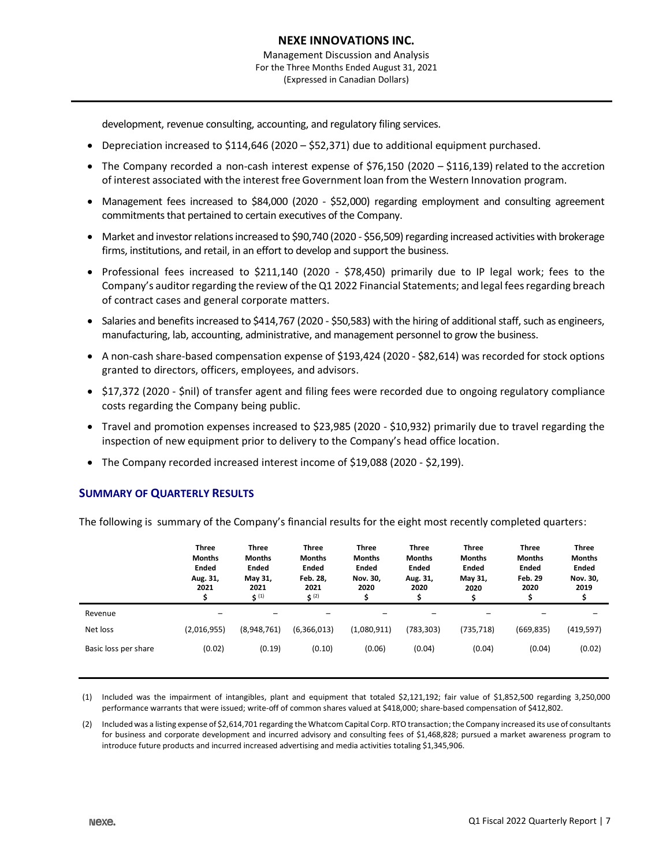development, revenue consulting, accounting, and regulatory filing services.

- Depreciation increased to \$114,646 (2020 \$52,371) due to additional equipment purchased.
- The Company recorded a non-cash interest expense of \$76,150 (2020 \$116,139) related to the accretion of interest associated with the interest free Government loan from the Western Innovation program.
- Management fees increased to \$84,000 (2020 \$52,000) regarding employment and consulting agreement commitments that pertained to certain executives of the Company.
- Market and investor relations increased to \$90,740 (2020 \$56,509) regarding increased activities with brokerage firms, institutions, and retail, in an effort to develop and support the business.
- Professional fees increased to \$211,140 (2020 \$78,450) primarily due to IP legal work; fees to the Company's auditor regarding the review of the Q1 2022 Financial Statements; and legal fees regarding breach of contract cases and general corporate matters.
- Salaries and benefits increased to \$414,767 (2020 \$50,583) with the hiring of additional staff, such as engineers, manufacturing, lab, accounting, administrative, and management personnel to grow the business.
- A non-cash share-based compensation expense of \$193,424 (2020 \$82,614) was recorded for stock options granted to directors, officers, employees, and advisors.
- \$17,372 (2020 \$nil) of transfer agent and filing fees were recorded due to ongoing regulatory compliance costs regarding the Company being public.
- Travel and promotion expenses increased to \$23,985 (2020 \$10,932) primarily due to travel regarding the inspection of new equipment prior to delivery to the Company's head office location.
- The Company recorded increased interest income of \$19,088 (2020 \$2,199).

## **SUMMARY OF QUARTERLY RESULTS**

The following is summary of the Company's financial results for the eight most recently completed quarters:

|                      | <b>Three</b><br><b>Months</b><br>Ended<br>Aug. 31,<br>2021 | <b>Three</b><br><b>Months</b><br><b>Ended</b><br>May 31,<br>2021<br>5(1) | <b>Three</b><br><b>Months</b><br><b>Ended</b><br>Feb. 28,<br>2021<br>5(2) | <b>Three</b><br><b>Months</b><br><b>Ended</b><br>Nov. 30,<br>2020 | <b>Three</b><br><b>Months</b><br>Ended<br>Aug. 31,<br>2020 | <b>Three</b><br><b>Months</b><br><b>Ended</b><br>May 31,<br>2020 | <b>Three</b><br><b>Months</b><br>Ended<br><b>Feb. 29</b><br>2020 | <b>Three</b><br><b>Months</b><br><b>Ended</b><br>Nov. 30,<br>2019 |
|----------------------|------------------------------------------------------------|--------------------------------------------------------------------------|---------------------------------------------------------------------------|-------------------------------------------------------------------|------------------------------------------------------------|------------------------------------------------------------------|------------------------------------------------------------------|-------------------------------------------------------------------|
| Revenue              |                                                            |                                                                          |                                                                           |                                                                   |                                                            |                                                                  |                                                                  |                                                                   |
| Net loss             | (2,016,955)                                                | (8,948,761)                                                              | (6,366,013)                                                               | (1,080,911)                                                       | (783,303)                                                  | (735, 718)                                                       | (669, 835)                                                       | (419, 597)                                                        |
| Basic loss per share | (0.02)                                                     | (0.19)                                                                   | (0.10)                                                                    | (0.06)                                                            | (0.04)                                                     | (0.04)                                                           | (0.04)                                                           | (0.02)                                                            |

(1) Included was the impairment of intangibles, plant and equipment that totaled \$2,121,192; fair value of \$1,852,500 regarding 3,250,000 performance warrants that were issued; write-off of common shares valued at \$418,000; share-based compensation of \$412,802.

(2) Included was a listing expense of \$2,614,701 regarding the Whatcom Capital Corp. RTO transaction; the Company increased its use of consultants for business and corporate development and incurred advisory and consulting fees of \$1,468,828; pursued a market awareness program to introduce future products and incurred increased advertising and media activities totaling \$1,345,906.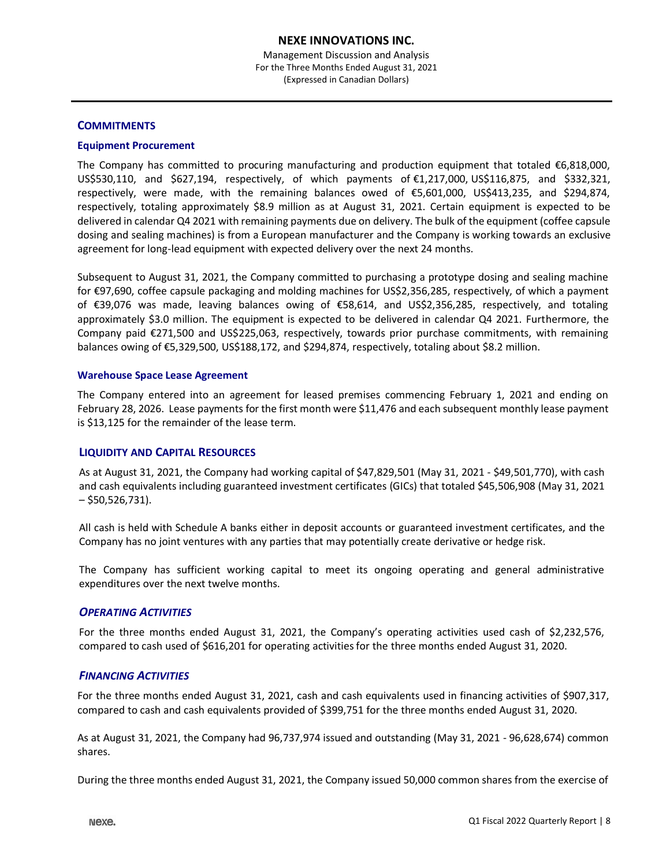## **COMMITMENTS**

## **Equipment Procurement**

The Company has committed to procuring manufacturing and production equipment that totaled €6,818,000, US\$530,110, and \$627,194, respectively, of which payments of €1,217,000, US\$116,875, and \$332,321, respectively, were made, with the remaining balances owed of €5,601,000, US\$413,235, and \$294,874, respectively, totaling approximately \$8.9 million as at August 31, 2021. Certain equipment is expected to be delivered in calendar Q4 2021 with remaining payments due on delivery. The bulk of the equipment (coffee capsule dosing and sealing machines) is from a European manufacturer and the Company is working towards an exclusive agreement for long-lead equipment with expected delivery over the next 24 months.

Subsequent to August 31, 2021, the Company committed to purchasing a prototype dosing and sealing machine for €97,690, coffee capsule packaging and molding machines for US\$2,356,285, respectively, of which a payment of €39,076 was made, leaving balances owing of €58,614, and US\$2,356,285, respectively, and totaling approximately \$3.0 million. The equipment is expected to be delivered in calendar Q4 2021. Furthermore, the Company paid €271,500 and US\$225,063, respectively, towards prior purchase commitments, with remaining balances owing of €5,329,500, US\$188,172, and \$294,874, respectively, totaling about \$8.2 million.

#### **Warehouse Space Lease Agreement**

The Company entered into an agreement for leased premises commencing February 1, 2021 and ending on February 28, 2026. Lease payments for the first month were \$11,476 and each subsequent monthly lease payment is \$13,125 for the remainder of the lease term.

## **LIQUIDITY AND CAPITAL RESOURCES**

As at August 31, 2021, the Company had working capital of \$47,829,501 (May 31, 2021 - \$49,501,770), with cash and cash equivalents including guaranteed investment certificates (GICs) that totaled \$45,506,908 (May 31, 2021 – \$50,526,731).

All cash is held with Schedule A banks either in deposit accounts or guaranteed investment certificates, and the Company has no joint ventures with any parties that may potentially create derivative or hedge risk.

The Company has sufficient working capital to meet its ongoing operating and general administrative expenditures over the next twelve months.

## *OPERATING ACTIVITIES*

For the three months ended August 31, 2021, the Company's operating activities used cash of \$2,232,576, compared to cash used of \$616,201 for operating activities for the three months ended August 31, 2020.

## *FINANCING ACTIVITIES*

For the three months ended August 31, 2021, cash and cash equivalents used in financing activities of \$907,317, compared to cash and cash equivalents provided of \$399,751 for the three months ended August 31, 2020.

As at August 31, 2021, the Company had 96,737,974 issued and outstanding (May 31, 2021 - 96,628,674) common shares.

During the three months ended August 31, 2021, the Company issued 50,000 common shares from the exercise of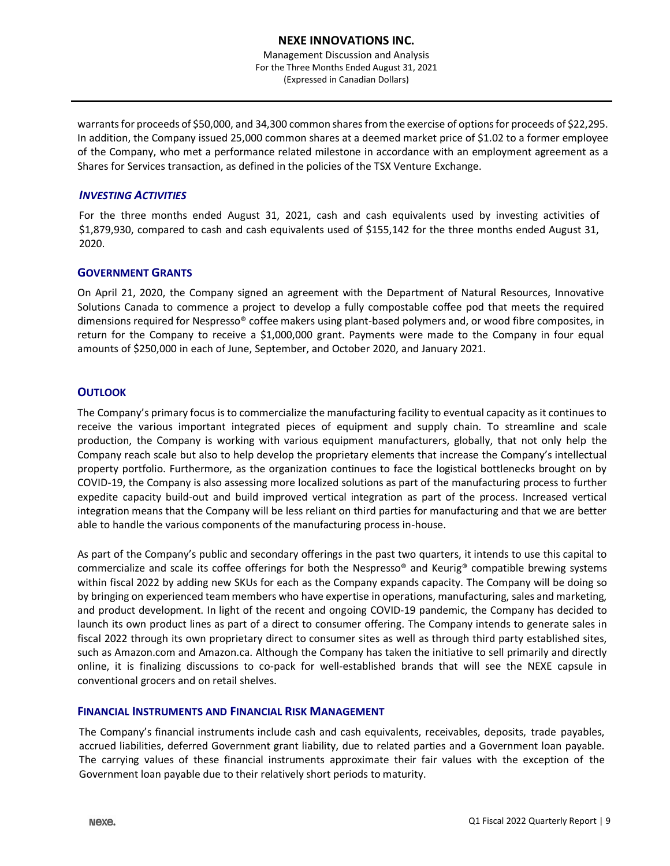Management Discussion and Analysis For the Three Months Ended August 31, 2021 (Expressed in Canadian Dollars)

warrants for proceeds of \$50,000, and 34,300 common shares from the exercise of options for proceeds of \$22,295. In addition, the Company issued 25,000 common shares at a deemed market price of \$1.02 to a former employee of the Company, who met a performance related milestone in accordance with an employment agreement as a Shares for Services transaction, as defined in the policies of the TSX Venture Exchange.

## *INVESTING ACTIVITIES*

For the three months ended August 31, 2021, cash and cash equivalents used by investing activities of \$1,879,930, compared to cash and cash equivalents used of \$155,142 for the three months ended August 31, 2020.

## **GOVERNMENT GRANTS**

On April 21, 2020, the Company signed an agreement with the Department of Natural Resources, Innovative Solutions Canada to commence a project to develop a fully compostable coffee pod that meets the required dimensions required for Nespresso® coffee makers using plant-based polymers and, or wood fibre composites, in return for the Company to receive a \$1,000,000 grant. Payments were made to the Company in four equal amounts of \$250,000 in each of June, September, and October 2020, and January 2021.

## **OUTLOOK**

The Company's primary focus is to commercialize the manufacturing facility to eventual capacity as it continues to receive the various important integrated pieces of equipment and supply chain. To streamline and scale production, the Company is working with various equipment manufacturers, globally, that not only help the Company reach scale but also to help develop the proprietary elements that increase the Company's intellectual property portfolio. Furthermore, as the organization continues to face the logistical bottlenecks brought on by COVID-19, the Company is also assessing more localized solutions as part of the manufacturing process to further expedite capacity build-out and build improved vertical integration as part of the process. Increased vertical integration means that the Company will be less reliant on third parties for manufacturing and that we are better able to handle the various components of the manufacturing process in-house.

As part of the Company's public and secondary offerings in the past two quarters, it intends to use this capital to commercialize and scale its coffee offerings for both the Nespresso® and Keurig® compatible brewing systems within fiscal 2022 by adding new SKUs for each as the Company expands capacity. The Company will be doing so by bringing on experienced team members who have expertise in operations, manufacturing, sales and marketing, and product development. In light of the recent and ongoing COVID-19 pandemic, the Company has decided to launch its own product lines as part of a direct to consumer offering. The Company intends to generate sales in fiscal 2022 through its own proprietary direct to consumer sites as well as through third party established sites, such as Amazon.com and Amazon.ca. Although the Company has taken the initiative to sell primarily and directly online, it is finalizing discussions to co-pack for well-established brands that will see the NEXE capsule in conventional grocers and on retail shelves.

## **FINANCIAL INSTRUMENTS AND FINANCIAL RISK MANAGEMENT**

The Company's financial instruments include cash and cash equivalents, receivables, deposits, trade payables, accrued liabilities, deferred Government grant liability, due to related parties and a Government loan payable. The carrying values of these financial instruments approximate their fair values with the exception of the Government loan payable due to their relatively short periods to maturity.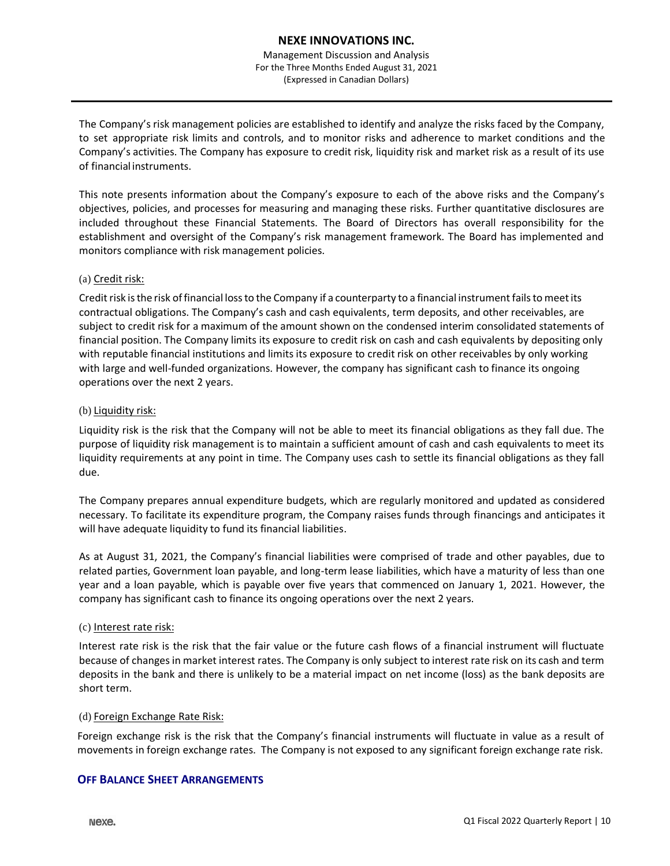Management Discussion and Analysis For the Three Months Ended August 31, 2021 (Expressed in Canadian Dollars)

The Company's risk management policies are established to identify and analyze the risks faced by the Company, to set appropriate risk limits and controls, and to monitor risks and adherence to market conditions and the Company's activities. The Company has exposure to credit risk, liquidity risk and market risk as a result of its use of financial instruments.

This note presents information about the Company's exposure to each of the above risks and the Company's objectives, policies, and processes for measuring and managing these risks. Further quantitative disclosures are included throughout these Financial Statements. The Board of Directors has overall responsibility for the establishment and oversight of the Company's risk management framework. The Board has implemented and monitors compliance with risk management policies.

## (a) Credit risk:

Credit risk is the risk of financial loss to the Company if a counterparty to a financial instrument fails to meet its contractual obligations. The Company's cash and cash equivalents, term deposits, and other receivables, are subject to credit risk for a maximum of the amount shown on the condensed interim consolidated statements of financial position. The Company limits its exposure to credit risk on cash and cash equivalents by depositing only with reputable financial institutions and limits its exposure to credit risk on other receivables by only working with large and well-funded organizations. However, the company has significant cash to finance its ongoing operations over the next 2 years.

#### (b) Liquidity risk:

Liquidity risk is the risk that the Company will not be able to meet its financial obligations as they fall due. The purpose of liquidity risk management is to maintain a sufficient amount of cash and cash equivalents to meet its liquidity requirements at any point in time. The Company uses cash to settle its financial obligations as they fall due.

The Company prepares annual expenditure budgets, which are regularly monitored and updated as considered necessary. To facilitate its expenditure program, the Company raises funds through financings and anticipates it will have adequate liquidity to fund its financial liabilities.

As at August 31, 2021, the Company's financial liabilities were comprised of trade and other payables, due to related parties, Government loan payable, and long-term lease liabilities, which have a maturity of less than one year and a loan payable, which is payable over five years that commenced on January 1, 2021. However, the company has significant cash to finance its ongoing operations over the next 2 years.

#### (c) Interest rate risk:

Interest rate risk is the risk that the fair value or the future cash flows of a financial instrument will fluctuate because of changesin market interest rates. The Company is only subject to interest rate risk on its cash and term deposits in the bank and there is unlikely to be a material impact on net income (loss) as the bank deposits are short term.

## (d) Foreign Exchange Rate Risk:

Foreign exchange risk is the risk that the Company's financial instruments will fluctuate in value as a result of movements in foreign exchange rates. The Company is not exposed to any significant foreign exchange rate risk.

## **OFF BALANCE SHEET ARRANGEMENTS**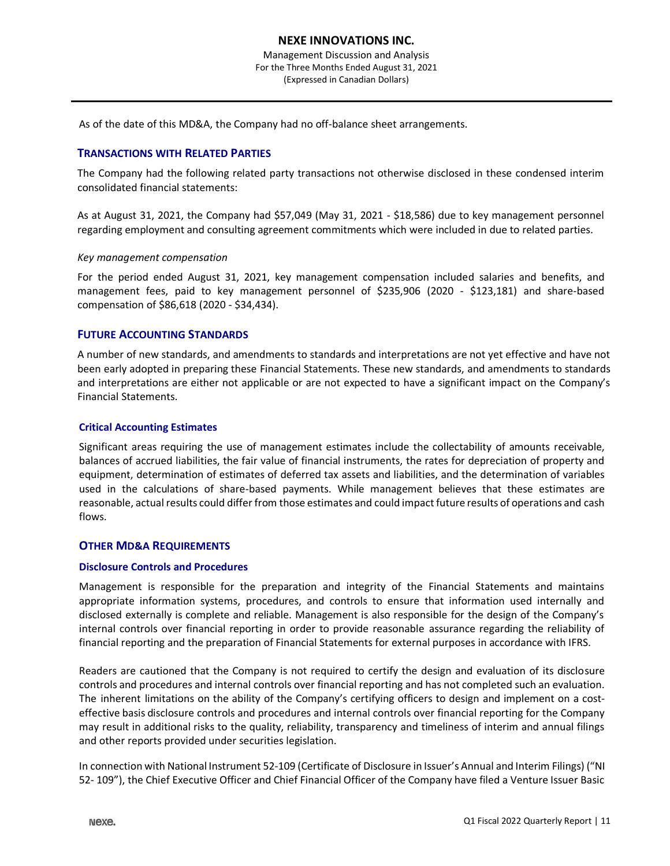As of the date of this MD&A, the Company had no off-balance sheet arrangements.

## **TRANSACTIONS WITH RELATED PARTIES**

The Company had the following related party transactions not otherwise disclosed in these condensed interim consolidated financial statements:

As at August 31, 2021, the Company had \$57,049 (May 31, 2021 - \$18,586) due to key management personnel regarding employment and consulting agreement commitments which were included in due to related parties.

#### *Key management compensation*

For the period ended August 31, 2021, key management compensation included salaries and benefits, and management fees, paid to key management personnel of \$235,906 (2020 - \$123,181) and share-based compensation of \$86,618 (2020 - \$34,434).

## **FUTURE ACCOUNTING STANDARDS**

A number of new standards, and amendments to standards and interpretations are not yet effective and have not been early adopted in preparing these Financial Statements. These new standards, and amendments to standards and interpretations are either not applicable or are not expected to have a significant impact on the Company's Financial Statements.

## **Critical Accounting Estimates**

Significant areas requiring the use of management estimates include the collectability of amounts receivable, balances of accrued liabilities, the fair value of financial instruments, the rates for depreciation of property and equipment, determination of estimates of deferred tax assets and liabilities, and the determination of variables used in the calculations of share-based payments. While management believes that these estimates are reasonable, actual results could differ from those estimates and could impact future results of operations and cash flows.

## **OTHER MD&A REQUIREMENTS**

## **Disclosure Controls and Procedures**

Management is responsible for the preparation and integrity of the Financial Statements and maintains appropriate information systems, procedures, and controls to ensure that information used internally and disclosed externally is complete and reliable. Management is also responsible for the design of the Company's internal controls over financial reporting in order to provide reasonable assurance regarding the reliability of financial reporting and the preparation of Financial Statements for external purposes in accordance with IFRS.

Readers are cautioned that the Company is not required to certify the design and evaluation of its disclosure controls and procedures and internal controls over financial reporting and has not completed such an evaluation. The inherent limitations on the ability of the Company's certifying officers to design and implement on a costeffective basis disclosure controls and procedures and internal controls over financial reporting for the Company may result in additional risks to the quality, reliability, transparency and timeliness of interim and annual filings and other reports provided under securities legislation.

In connection with National Instrument 52-109 (Certificate of Disclosure in Issuer's Annual and Interim Filings) ("NI 52- 109"), the Chief Executive Officer and Chief Financial Officer of the Company have filed a Venture Issuer Basic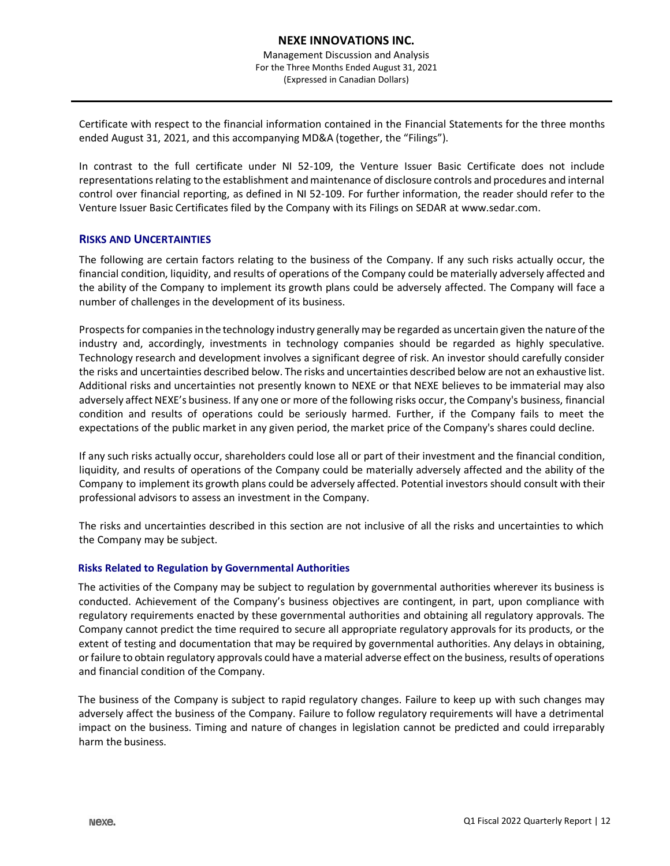Certificate with respect to the financial information contained in the Financial Statements for the three months ended August 31, 2021, and this accompanying MD&A (together, the "Filings").

In contrast to the full certificate under NI 52-109, the Venture Issuer Basic Certificate does not include representations relating to the establishment and maintenance of disclosure controls and procedures and internal control over financial reporting, as defined in NI 52-109. For further information, the reader should refer to the Venture Issuer Basic Certificates filed by the Company with its Filings on SEDAR at [www.sedar.com.](http://www.sedar.com/)

## **RISKS AND UNCERTAINTIES**

The following are certain factors relating to the business of the Company. If any such risks actually occur, the financial condition, liquidity, and results of operations of the Company could be materially adversely affected and the ability of the Company to implement its growth plans could be adversely affected. The Company will face a number of challenges in the development of its business.

Prospects for companies in the technology industry generally may be regarded as uncertain given the nature of the industry and, accordingly, investments in technology companies should be regarded as highly speculative. Technology research and development involves a significant degree of risk. An investor should carefully consider the risks and uncertainties described below. The risks and uncertainties described below are not an exhaustive list. Additional risks and uncertainties not presently known to NEXE or that NEXE believes to be immaterial may also adversely affect NEXE's business. If any one or more of the following risks occur, the Company's business, financial condition and results of operations could be seriously harmed. Further, if the Company fails to meet the expectations of the public market in any given period, the market price of the Company's shares could decline.

If any such risks actually occur, shareholders could lose all or part of their investment and the financial condition, liquidity, and results of operations of the Company could be materially adversely affected and the ability of the Company to implement its growth plans could be adversely affected. Potential investors should consult with their professional advisors to assess an investment in the Company.

The risks and uncertainties described in this section are not inclusive of all the risks and uncertainties to which the Company may be subject.

## **Risks Related to Regulation by Governmental Authorities**

The activities of the Company may be subject to regulation by governmental authorities wherever its business is conducted. Achievement of the Company's business objectives are contingent, in part, upon compliance with regulatory requirements enacted by these governmental authorities and obtaining all regulatory approvals. The Company cannot predict the time required to secure all appropriate regulatory approvals for its products, or the extent of testing and documentation that may be required by governmental authorities. Any delays in obtaining, or failure to obtain regulatory approvals could have a material adverse effect on the business, results of operations and financial condition of the Company.

The business of the Company is subject to rapid regulatory changes. Failure to keep up with such changes may adversely affect the business of the Company. Failure to follow regulatory requirements will have a detrimental impact on the business. Timing and nature of changes in legislation cannot be predicted and could irreparably harm the business.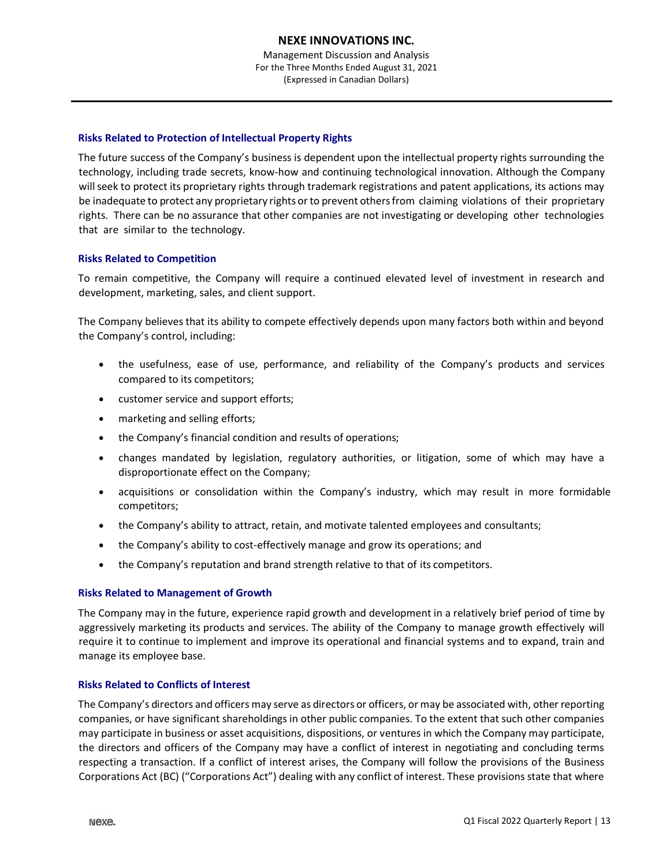## **Risks Related to Protection of Intellectual Property Rights**

The future success of the Company's business is dependent upon the intellectual property rights surrounding the technology, including trade secrets, know-how and continuing technological innovation. Although the Company willseek to protect its proprietary rights through trademark registrations and patent applications, its actions may be inadequate to protect any proprietary rights or to prevent others from claiming violations of their proprietary rights. There can be no assurance that other companies are not investigating or developing other technologies that are similar to the technology.

## **Risks Related to Competition**

To remain competitive, the Company will require a continued elevated level of investment in research and development, marketing, sales, and client support.

The Company believes that its ability to compete effectively depends upon many factors both within and beyond the Company's control, including:

- the usefulness, ease of use, performance, and reliability of the Company's products and services compared to its competitors;
- customer service and support efforts;
- marketing and selling efforts;
- the Company's financial condition and results of operations;
- changes mandated by legislation, regulatory authorities, or litigation, some of which may have a disproportionate effect on the Company;
- acquisitions or consolidation within the Company's industry, which may result in more formidable competitors;
- the Company's ability to attract, retain, and motivate talented employees and consultants;
- the Company's ability to cost-effectively manage and grow its operations; and
- the Company's reputation and brand strength relative to that of its competitors.

## **Risks Related to Management of Growth**

The Company may in the future, experience rapid growth and development in a relatively brief period of time by aggressively marketing its products and services. The ability of the Company to manage growth effectively will require it to continue to implement and improve its operational and financial systems and to expand, train and manage its employee base.

## **Risks Related to Conflicts of Interest**

The Company's directors and officers may serve as directors or officers, or may be associated with, other reporting companies, or have significant shareholdings in other public companies. To the extent that such other companies may participate in business or asset acquisitions, dispositions, or ventures in which the Company may participate, the directors and officers of the Company may have a conflict of interest in negotiating and concluding terms respecting a transaction. If a conflict of interest arises, the Company will follow the provisions of the Business Corporations Act (BC) ("Corporations Act") dealing with any conflict of interest. These provisions state that where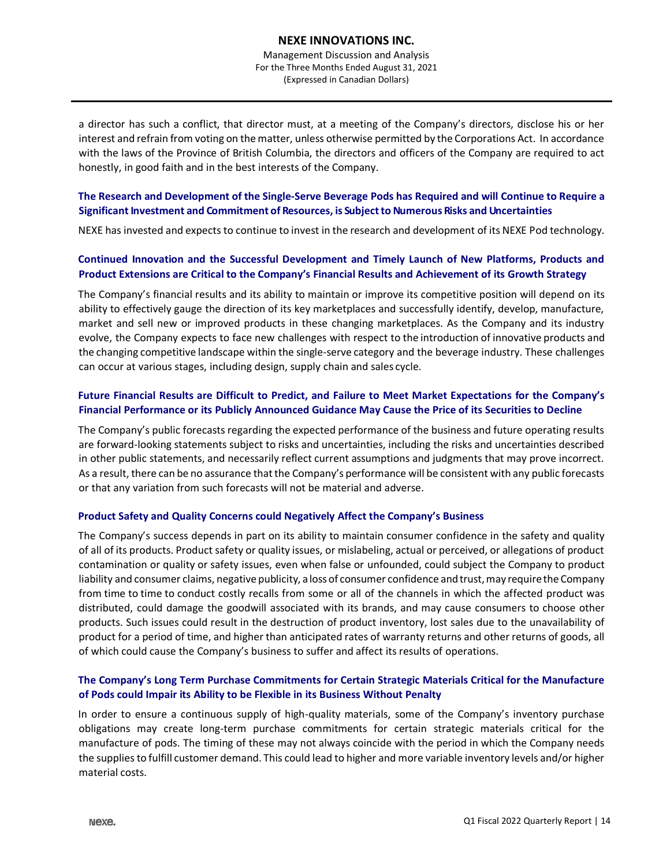a director has such a conflict, that director must, at a meeting of the Company's directors, disclose his or her interest and refrain from voting on the matter, unless otherwise permitted by the Corporations Act. In accordance with the laws of the Province of British Columbia, the directors and officers of the Company are required to act honestly, in good faith and in the best interests of the Company.

## **The Research and Development of the Single-Serve Beverage Pods has Required and will Continue to Require a Significant Investment and Commitment of Resources, is Subjectto Numerous Risks and Uncertainties**

NEXE has invested and expects to continue to invest in the research and development of its NEXE Pod technology.

## **Continued Innovation and the Successful Development and Timely Launch of New Platforms, Products and Product Extensions are Critical to the Company's Financial Results and Achievement of its Growth Strategy**

The Company's financial results and its ability to maintain or improve its competitive position will depend on its ability to effectively gauge the direction of its key marketplaces and successfully identify, develop, manufacture, market and sell new or improved products in these changing marketplaces. As the Company and its industry evolve, the Company expects to face new challenges with respect to the introduction of innovative products and the changing competitive landscape within the single-serve category and the beverage industry. These challenges can occur at various stages, including design, supply chain and sales cycle.

## **Future Financial Results are Difficult to Predict, and Failure to Meet Market Expectations for the Company's Financial Performance or its Publicly Announced Guidance May Cause the Price of its Securities to Decline**

The Company's public forecasts regarding the expected performance of the business and future operating results are forward-looking statements subject to risks and uncertainties, including the risks and uncertainties described in other public statements, and necessarily reflect current assumptions and judgments that may prove incorrect. As a result, there can be no assurance that the Company's performance will be consistent with any public forecasts or that any variation from such forecasts will not be material and adverse.

## **Product Safety and Quality Concerns could Negatively Affect the Company's Business**

The Company's success depends in part on its ability to maintain consumer confidence in the safety and quality of all of its products. Product safety or quality issues, or mislabeling, actual or perceived, or allegations of product contamination or quality or safety issues, even when false or unfounded, could subject the Company to product liability and consumer claims, negative publicity, a loss of consumer confidence and trust, may require the Company from time to time to conduct costly recalls from some or all of the channels in which the affected product was distributed, could damage the goodwill associated with its brands, and may cause consumers to choose other products. Such issues could result in the destruction of product inventory, lost sales due to the unavailability of product for a period of time, and higher than anticipated rates of warranty returns and other returns of goods, all of which could cause the Company's business to suffer and affect its results of operations.

## **The Company's Long Term Purchase Commitments for Certain Strategic Materials Critical for the Manufacture of Pods could Impair its Ability to be Flexible in its Business Without Penalty**

In order to ensure a continuous supply of high-quality materials, some of the Company's inventory purchase obligations may create long-term purchase commitments for certain strategic materials critical for the manufacture of pods. The timing of these may not always coincide with the period in which the Company needs the supplies to fulfill customer demand. This could lead to higher and more variable inventory levels and/or higher material costs.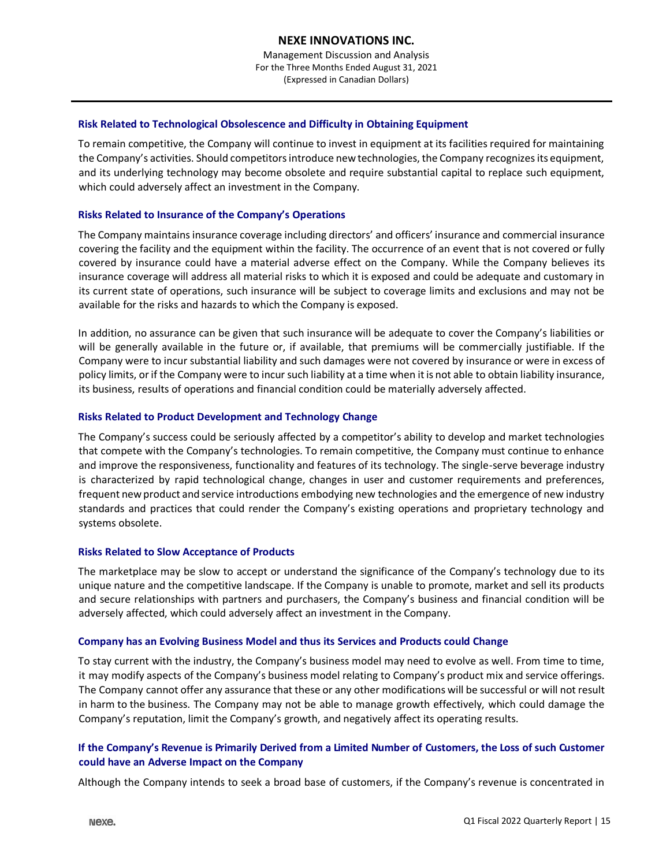## **Risk Related to Technological Obsolescence and Difficulty in Obtaining Equipment**

To remain competitive, the Company will continue to invest in equipment at its facilities required for maintaining the Company's activities. Should competitors introduce new technologies, the Company recognizes its equipment, and its underlying technology may become obsolete and require substantial capital to replace such equipment, which could adversely affect an investment in the Company.

## **Risks Related to Insurance of the Company's Operations**

The Company maintains insurance coverage including directors' and officers' insurance and commercial insurance covering the facility and the equipment within the facility. The occurrence of an event that is not covered or fully covered by insurance could have a material adverse effect on the Company. While the Company believes its insurance coverage will address all material risks to which it is exposed and could be adequate and customary in its current state of operations, such insurance will be subject to coverage limits and exclusions and may not be available for the risks and hazards to which the Company is exposed.

In addition, no assurance can be given that such insurance will be adequate to cover the Company's liabilities or will be generally available in the future or, if available, that premiums will be commercially justifiable. If the Company were to incur substantial liability and such damages were not covered by insurance or were in excess of policy limits, or if the Company were to incur such liability at a time when it is not able to obtain liability insurance, its business, results of operations and financial condition could be materially adversely affected.

## **Risks Related to Product Development and Technology Change**

The Company's success could be seriously affected by a competitor's ability to develop and market technologies that compete with the Company's technologies. To remain competitive, the Company must continue to enhance and improve the responsiveness, functionality and features of its technology. The single-serve beverage industry is characterized by rapid technological change, changes in user and customer requirements and preferences, frequent new product and service introductions embodying new technologies and the emergence of new industry standards and practices that could render the Company's existing operations and proprietary technology and systems obsolete.

## **Risks Related to Slow Acceptance of Products**

The marketplace may be slow to accept or understand the significance of the Company's technology due to its unique nature and the competitive landscape. If the Company is unable to promote, market and sell its products and secure relationships with partners and purchasers, the Company's business and financial condition will be adversely affected, which could adversely affect an investment in the Company.

## **Company has an Evolving Business Model and thus its Services and Products could Change**

To stay current with the industry, the Company's business model may need to evolve as well. From time to time, it may modify aspects of the Company's business model relating to Company's product mix and service offerings. The Company cannot offer any assurance that these or any other modifications will be successful or will not result in harm to the business. The Company may not be able to manage growth effectively, which could damage the Company's reputation, limit the Company's growth, and negatively affect its operating results.

## If the Company's Revenue is Primarily Derived from a Limited Number of Customers, the Loss of such Customer **could have an Adverse Impact on the Company**

Although the Company intends to seek a broad base of customers, if the Company's revenue is concentrated in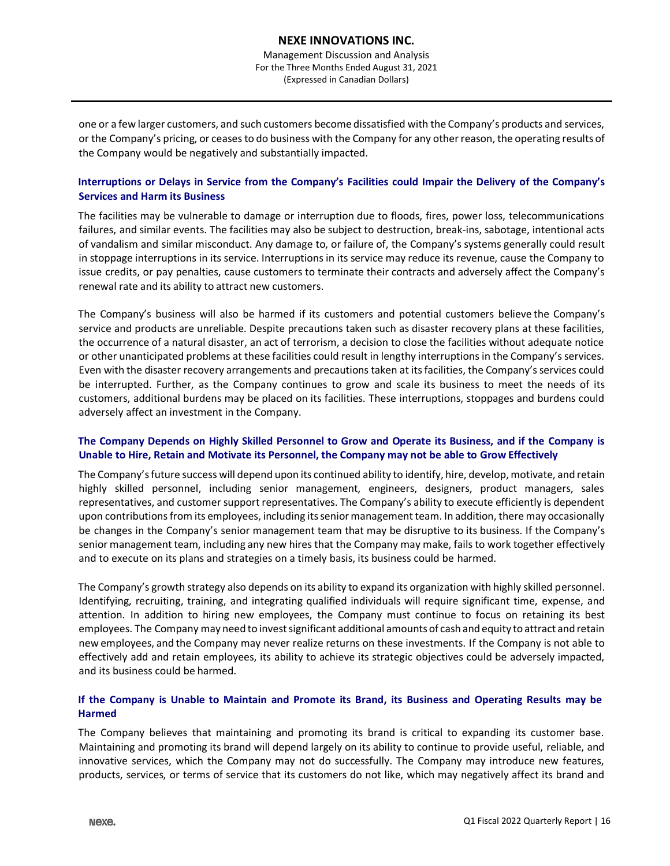one or a few larger customers, and such customers become dissatisfied with the Company's products and services, or the Company's pricing, or ceases to do business with the Company for any other reason, the operating results of the Company would be negatively and substantially impacted.

## **Interruptions or Delays in Service from the Company's Facilities could Impair the Delivery of the Company's Services and Harm its Business**

The facilities may be vulnerable to damage or interruption due to floods, fires, power loss, telecommunications failures, and similar events. The facilities may also be subject to destruction, break-ins, sabotage, intentional acts of vandalism and similar misconduct. Any damage to, or failure of, the Company's systems generally could result in stoppage interruptions in its service. Interruptions in its service may reduce its revenue, cause the Company to issue credits, or pay penalties, cause customers to terminate their contracts and adversely affect the Company's renewal rate and its ability to attract new customers.

The Company's business will also be harmed if its customers and potential customers believe the Company's service and products are unreliable. Despite precautions taken such as disaster recovery plans at these facilities, the occurrence of a natural disaster, an act of terrorism, a decision to close the facilities without adequate notice or other unanticipated problems at these facilities could result in lengthy interruptions in the Company's services. Even with the disaster recovery arrangements and precautions taken at its facilities, the Company's services could be interrupted. Further, as the Company continues to grow and scale its business to meet the needs of its customers, additional burdens may be placed on its facilities. These interruptions, stoppages and burdens could adversely affect an investment in the Company.

## The Company Depends on Highly Skilled Personnel to Grow and Operate its Business, and if the Company is **Unable to Hire, Retain and Motivate its Personnel, the Company may not be able to Grow Effectively**

The Company's future success will depend upon its continued ability to identify, hire, develop, motivate, and retain highly skilled personnel, including senior management, engineers, designers, product managers, sales representatives, and customer support representatives. The Company's ability to execute efficiently is dependent upon contributions from its employees, including its senior management team. In addition, there may occasionally be changes in the Company's senior management team that may be disruptive to its business. If the Company's senior management team, including any new hires that the Company may make, fails to work together effectively and to execute on its plans and strategies on a timely basis, its business could be harmed.

The Company's growth strategy also depends on its ability to expand its organization with highly skilled personnel. Identifying, recruiting, training, and integrating qualified individuals will require significant time, expense, and attention. In addition to hiring new employees, the Company must continue to focus on retaining its best employees. The Company may need to investsignificant additional amounts of cash and equity to attract and retain new employees, and the Company may never realize returns on these investments. If the Company is not able to effectively add and retain employees, its ability to achieve its strategic objectives could be adversely impacted, and its business could be harmed.

## **If the Company is Unable to Maintain and Promote its Brand, its Business and Operating Results may be Harmed**

The Company believes that maintaining and promoting its brand is critical to expanding its customer base. Maintaining and promoting its brand will depend largely on its ability to continue to provide useful, reliable, and innovative services, which the Company may not do successfully. The Company may introduce new features, products, services, or terms of service that its customers do not like, which may negatively affect its brand and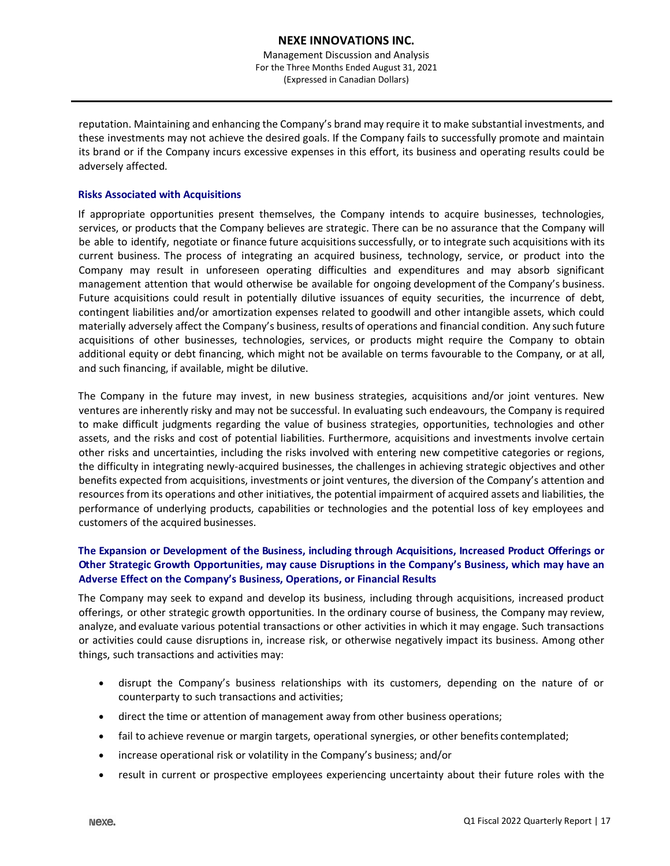reputation. Maintaining and enhancing the Company's brand may require it to make substantial investments, and these investments may not achieve the desired goals. If the Company fails to successfully promote and maintain its brand or if the Company incurs excessive expenses in this effort, its business and operating results could be adversely affected.

## **Risks Associated with Acquisitions**

If appropriate opportunities present themselves, the Company intends to acquire businesses, technologies, services, or products that the Company believes are strategic. There can be no assurance that the Company will be able to identify, negotiate or finance future acquisitions successfully, or to integrate such acquisitions with its current business. The process of integrating an acquired business, technology, service, or product into the Company may result in unforeseen operating difficulties and expenditures and may absorb significant management attention that would otherwise be available for ongoing development of the Company's business. Future acquisitions could result in potentially dilutive issuances of equity securities, the incurrence of debt, contingent liabilities and/or amortization expenses related to goodwill and other intangible assets, which could materially adversely affect the Company's business, results of operations and financial condition. Any such future acquisitions of other businesses, technologies, services, or products might require the Company to obtain additional equity or debt financing, which might not be available on terms favourable to the Company, or at all, and such financing, if available, might be dilutive.

The Company in the future may invest, in new business strategies, acquisitions and/or joint ventures. New ventures are inherently risky and may not be successful. In evaluating such endeavours, the Company is required to make difficult judgments regarding the value of business strategies, opportunities, technologies and other assets, and the risks and cost of potential liabilities. Furthermore, acquisitions and investments involve certain other risks and uncertainties, including the risks involved with entering new competitive categories or regions, the difficulty in integrating newly-acquired businesses, the challenges in achieving strategic objectives and other benefits expected from acquisitions, investments or joint ventures, the diversion of the Company's attention and resources from its operations and other initiatives, the potential impairment of acquired assets and liabilities, the performance of underlying products, capabilities or technologies and the potential loss of key employees and customers of the acquired businesses.

## **The Expansion or Development of the Business, including through Acquisitions, Increased Product Offerings or Other Strategic Growth Opportunities, may cause Disruptions in the Company's Business, which may have an Adverse Effect on the Company's Business, Operations, or Financial Results**

The Company may seek to expand and develop its business, including through acquisitions, increased product offerings, or other strategic growth opportunities. In the ordinary course of business, the Company may review, analyze, and evaluate various potential transactions or other activities in which it may engage. Such transactions or activities could cause disruptions in, increase risk, or otherwise negatively impact its business. Among other things, such transactions and activities may:

- disrupt the Company's business relationships with its customers, depending on the nature of or counterparty to such transactions and activities;
- direct the time or attention of management away from other business operations;
- fail to achieve revenue or margin targets, operational synergies, or other benefits contemplated;
- increase operational risk or volatility in the Company's business; and/or
- result in current or prospective employees experiencing uncertainty about their future roles with the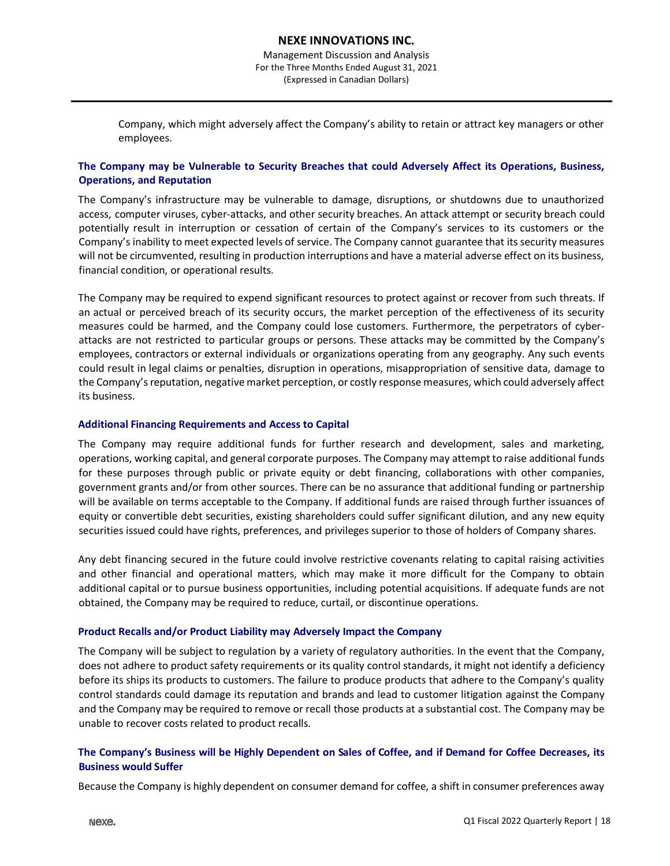Company, which might adversely affect the Company's ability to retain or attract key managers or other employees.

## **The Company may be Vulnerable to Security Breaches that could Adversely Affect its Operations, Business, Operations, and Reputation**

The Company's infrastructure may be vulnerable to damage, disruptions, or shutdowns due to unauthorized access, computer viruses, cyber-attacks, and other security breaches. An attack attempt or security breach could potentially result in interruption or cessation of certain of the Company's services to its customers or the Company's inability to meet expected levels of service. The Company cannot guarantee that its security measures will not be circumvented, resulting in production interruptions and have a material adverse effect on its business, financial condition, or operational results.

The Company may be required to expend significant resources to protect against or recover from such threats. If an actual or perceived breach of its security occurs, the market perception of the effectiveness of its security measures could be harmed, and the Company could lose customers. Furthermore, the perpetrators of cyberattacks are not restricted to particular groups or persons. These attacks may be committed by the Company's employees, contractors or external individuals or organizations operating from any geography. Any such events could result in legal claims or penalties, disruption in operations, misappropriation of sensitive data, damage to the Company's reputation, negative market perception, or costly response measures, which could adversely affect its business.

## **Additional Financing Requirements and Access to Capital**

The Company may require additional funds for further research and development, sales and marketing, operations, working capital, and general corporate purposes. The Company may attempt to raise additional funds for these purposes through public or private equity or debt financing, collaborations with other companies, government grants and/or from other sources. There can be no assurance that additional funding or partnership will be available on terms acceptable to the Company. If additional funds are raised through further issuances of equity or convertible debt securities, existing shareholders could suffer significant dilution, and any new equity securities issued could have rights, preferences, and privileges superior to those of holders of Company shares.

Any debt financing secured in the future could involve restrictive covenants relating to capital raising activities and other financial and operational matters, which may make it more difficult for the Company to obtain additional capital or to pursue business opportunities, including potential acquisitions. If adequate funds are not obtained, the Company may be required to reduce, curtail, or discontinue operations.

## **Product Recalls and/or Product Liability may Adversely Impact the Company**

The Company will be subject to regulation by a variety of regulatory authorities. In the event that the Company, does not adhere to product safety requirements or its quality control standards, it might not identify a deficiency before its ships its products to customers. The failure to produce products that adhere to the Company's quality control standards could damage its reputation and brands and lead to customer litigation against the Company and the Company may be required to remove or recall those products at a substantial cost. The Company may be unable to recover costs related to product recalls.

## The Company's Business will be Highly Dependent on Sales of Coffee, and if Demand for Coffee Decreases, its **Business would Suffer**

Because the Company is highly dependent on consumer demand for coffee, a shift in consumer preferences away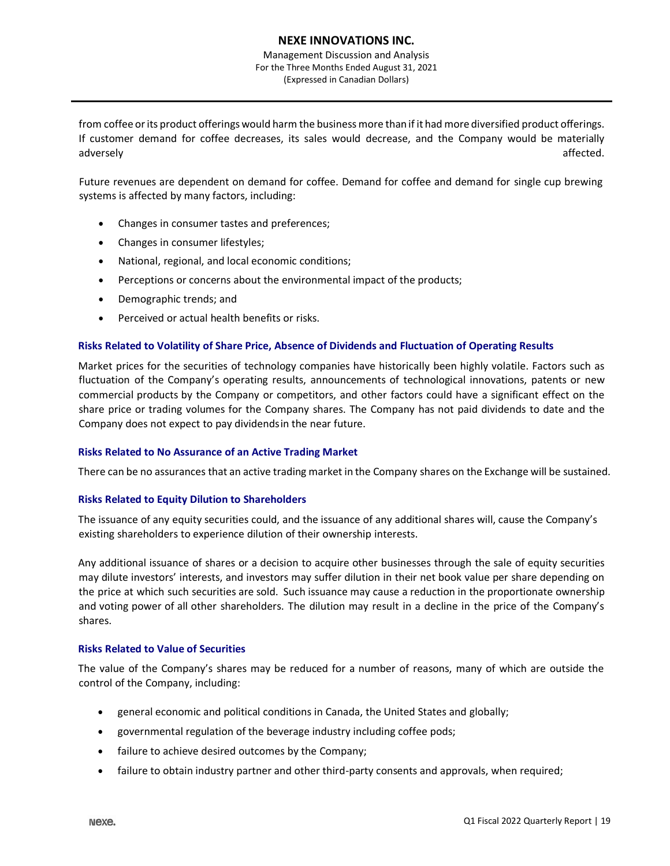Management Discussion and Analysis For the Three Months Ended August 31, 2021 (Expressed in Canadian Dollars)

from coffee or its product offerings would harm the business more than if it had more diversified product offerings. If customer demand for coffee decreases, its sales would decrease, and the Company would be materially adversely affected.

Future revenues are dependent on demand for coffee. Demand for coffee and demand for single cup brewing systems is affected by many factors, including:

- Changes in consumer tastes and preferences;
- Changes in consumer lifestyles;
- National, regional, and local economic conditions;
- Perceptions or concerns about the environmental impact of the products;
- Demographic trends; and
- Perceived or actual health benefits or risks.

## **Risks Related to Volatility of Share Price, Absence of Dividends and Fluctuation of Operating Results**

Market prices for the securities of technology companies have historically been highly volatile. Factors such as fluctuation of the Company's operating results, announcements of technological innovations, patents or new commercial products by the Company or competitors, and other factors could have a significant effect on the share price or trading volumes for the Company shares. The Company has not paid dividends to date and the Company does not expect to pay dividendsin the near future.

#### **Risks Related to No Assurance of an Active Trading Market**

There can be no assurances that an active trading market in the Company shares on the Exchange will be sustained.

## **Risks Related to Equity Dilution to Shareholders**

The issuance of any equity securities could, and the issuance of any additional shares will, cause the Company's existing shareholders to experience dilution of their ownership interests.

Any additional issuance of shares or a decision to acquire other businesses through the sale of equity securities may dilute investors' interests, and investors may suffer dilution in their net book value per share depending on the price at which such securities are sold. Such issuance may cause a reduction in the proportionate ownership and voting power of all other shareholders. The dilution may result in a decline in the price of the Company's shares.

#### **Risks Related to Value of Securities**

The value of the Company's shares may be reduced for a number of reasons, many of which are outside the control of the Company, including:

- general economic and political conditions in Canada, the United States and globally;
- governmental regulation of the beverage industry including coffee pods;
- failure to achieve desired outcomes by the Company;
- failure to obtain industry partner and other third-party consents and approvals, when required;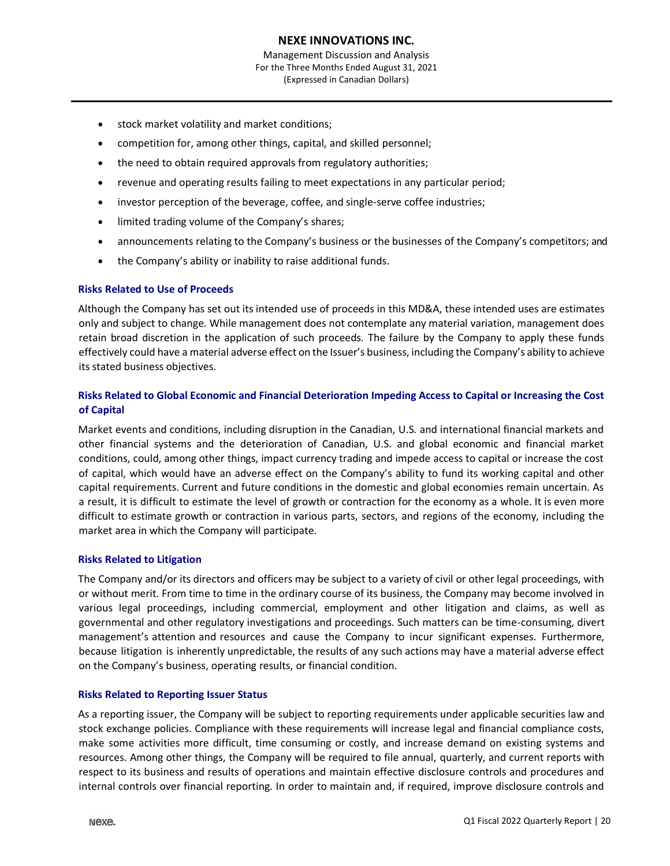- stock market volatility and market conditions;
- competition for, among other things, capital, and skilled personnel;
- the need to obtain required approvals from regulatory authorities;
- revenue and operating results failing to meet expectations in any particular period;
- investor perception of the beverage, coffee, and single-serve coffee industries;
- limited trading volume of the Company's shares;
- announcements relating to the Company's business or the businesses of the Company's competitors; and
- the Company's ability or inability to raise additional funds.

## **Risks Related to Use of Proceeds**

Although the Company has set out its intended use of proceeds in this MD&A, these intended uses are estimates only and subject to change. While management does not contemplate any material variation, management does retain broad discretion in the application of such proceeds. The failure by the Company to apply these funds effectively could have a material adverse effect on the Issuer's business, including the Company's ability to achieve its stated business objectives.

## **Risks Related to Global Economic and Financial Deterioration Impeding Access to Capital or Increasing the Cost of Capital**

Market events and conditions, including disruption in the Canadian, U.S. and international financial markets and other financial systems and the deterioration of Canadian, U.S. and global economic and financial market conditions, could, among other things, impact currency trading and impede access to capital or increase the cost of capital, which would have an adverse effect on the Company's ability to fund its working capital and other capital requirements. Current and future conditions in the domestic and global economies remain uncertain. As a result, it is difficult to estimate the level of growth or contraction for the economy as a whole. It is even more difficult to estimate growth or contraction in various parts, sectors, and regions of the economy, including the market area in which the Company will participate.

## **Risks Related to Litigation**

The Company and/or its directors and officers may be subject to a variety of civil or other legal proceedings, with or without merit. From time to time in the ordinary course of its business, the Company may become involved in various legal proceedings, including commercial, employment and other litigation and claims, as well as governmental and other regulatory investigations and proceedings. Such matters can be time-consuming, divert management's attention and resources and cause the Company to incur significant expenses. Furthermore, because litigation is inherently unpredictable, the results of any such actions may have a material adverse effect on the Company's business, operating results, or financial condition.

## **Risks Related to Reporting Issuer Status**

As a reporting issuer, the Company will be subject to reporting requirements under applicable securities law and stock exchange policies. Compliance with these requirements will increase legal and financial compliance costs, make some activities more difficult, time consuming or costly, and increase demand on existing systems and resources. Among other things, the Company will be required to file annual, quarterly, and current reports with respect to its business and results of operations and maintain effective disclosure controls and procedures and internal controls over financial reporting. In order to maintain and, if required, improve disclosure controls and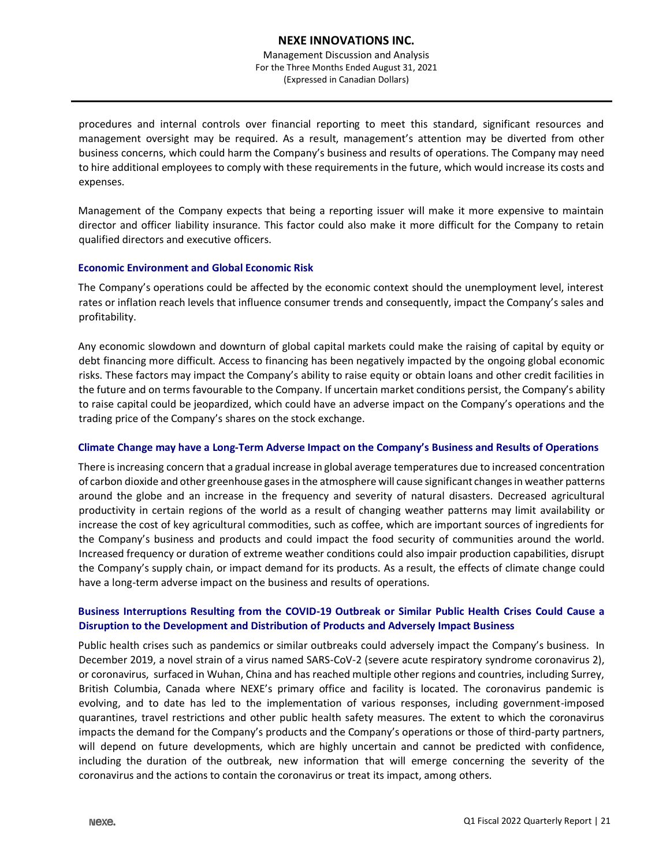Management Discussion and Analysis For the Three Months Ended August 31, 2021 (Expressed in Canadian Dollars)

procedures and internal controls over financial reporting to meet this standard, significant resources and management oversight may be required. As a result, management's attention may be diverted from other business concerns, which could harm the Company's business and results of operations. The Company may need to hire additional employees to comply with these requirements in the future, which would increase its costs and expenses.

Management of the Company expects that being a reporting issuer will make it more expensive to maintain director and officer liability insurance. This factor could also make it more difficult for the Company to retain qualified directors and executive officers.

## **Economic Environment and Global Economic Risk**

The Company's operations could be affected by the economic context should the unemployment level, interest rates or inflation reach levels that influence consumer trends and consequently, impact the Company's sales and profitability.

Any economic slowdown and downturn of global capital markets could make the raising of capital by equity or debt financing more difficult. Access to financing has been negatively impacted by the ongoing global economic risks. These factors may impact the Company's ability to raise equity or obtain loans and other credit facilities in the future and on terms favourable to the Company. If uncertain market conditions persist, the Company's ability to raise capital could be jeopardized, which could have an adverse impact on the Company's operations and the trading price of the Company's shares on the stock exchange.

## **Climate Change may have a Long-Term Adverse Impact on the Company's Business and Results of Operations**

There isincreasing concern that a gradual increase in global average temperatures due to increased concentration of carbon dioxide and other greenhouse gasesin the atmosphere will cause significant changesin weather patterns around the globe and an increase in the frequency and severity of natural disasters. Decreased agricultural productivity in certain regions of the world as a result of changing weather patterns may limit availability or increase the cost of key agricultural commodities, such as coffee, which are important sources of ingredients for the Company's business and products and could impact the food security of communities around the world. Increased frequency or duration of extreme weather conditions could also impair production capabilities, disrupt the Company's supply chain, or impact demand for its products. As a result, the effects of climate change could have a long-term adverse impact on the business and results of operations.

## **Business Interruptions Resulting from the COVID-19 Outbreak or Similar Public Health Crises Could Cause a Disruption to the Development and Distribution of Products and Adversely Impact Business**

Public health crises such as pandemics or similar outbreaks could adversely impact the Company's business. In December 2019, a novel strain of a virus named SARS-CoV-2 (severe acute respiratory syndrome coronavirus 2), or coronavirus, surfaced in Wuhan, China and has reached multiple other regions and countries, including Surrey, British Columbia, Canada where NEXE's primary office and facility is located. The coronavirus pandemic is evolving, and to date has led to the implementation of various responses, including government-imposed quarantines, travel restrictions and other public health safety measures. The extent to which the coronavirus impacts the demand for the Company's products and the Company's operations or those of third-party partners, will depend on future developments, which are highly uncertain and cannot be predicted with confidence, including the duration of the outbreak, new information that will emerge concerning the severity of the coronavirus and the actions to contain the coronavirus or treat its impact, among others.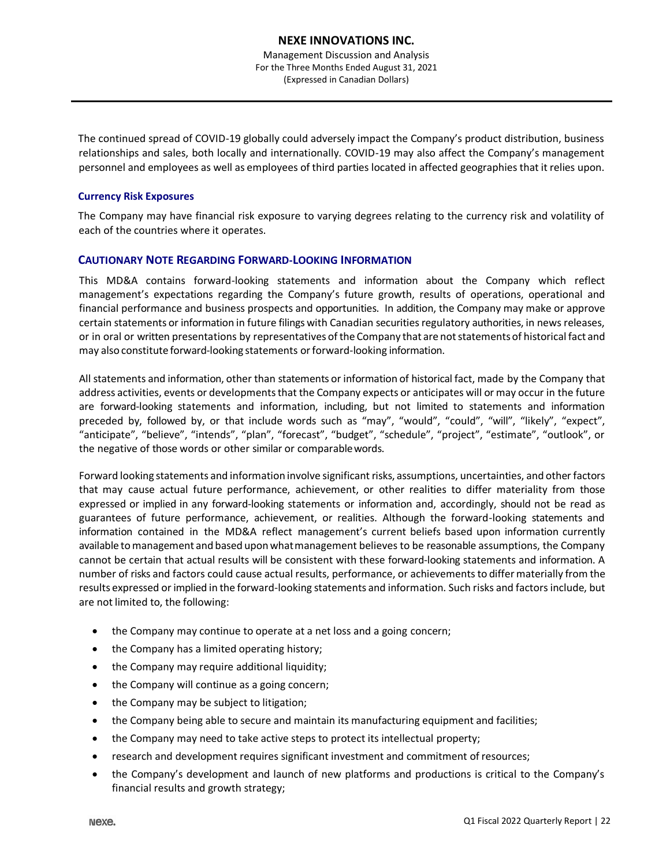The continued spread of COVID-19 globally could adversely impact the Company's product distribution, business relationships and sales, both locally and internationally. COVID-19 may also affect the Company's management personnel and employees as well as employees of third parties located in affected geographies that it relies upon.

#### **Currency Risk Exposures**

The Company may have financial risk exposure to varying degrees relating to the currency risk and volatility of each of the countries where it operates.

#### **CAUTIONARY NOTE REGARDING FORWARD-LOOKING INFORMATION**

This MD&A contains forward-looking statements and information about the Company which reflect management's expectations regarding the Company's future growth, results of operations, operational and financial performance and business prospects and opportunities. In addition, the Company may make or approve certain statements or information in future filings with Canadian securities regulatory authorities, in news releases, or in oral or written presentations by representatives of the Company that are notstatements of historical fact and may also constitute forward-looking statements orforward-looking information.

All statements and information, other than statements or information of historical fact, made by the Company that address activities, events or developments that the Company expects or anticipates will or may occur in the future are forward-looking statements and information, including, but not limited to statements and information preceded by, followed by, or that include words such as "may", "would", "could", "will", "likely", "expect", "anticipate", "believe", "intends", "plan", "forecast", "budget", "schedule", "project", "estimate", "outlook", or the negative of those words or other similar or comparablewords.

Forward looking statements and information involve significant risks, assumptions, uncertainties, and other factors that may cause actual future performance, achievement, or other realities to differ materiality from those expressed or implied in any forward-looking statements or information and, accordingly, should not be read as guarantees of future performance, achievement, or realities. Although the forward-looking statements and information contained in the MD&A reflect management's current beliefs based upon information currently available to management and based upon what management believes to be reasonable assumptions, the Company cannot be certain that actual results will be consistent with these forward-looking statements and information. A number of risks and factors could cause actual results, performance, or achievements to differ materially from the results expressed or implied in the forward-looking statements and information. Such risks and factorsinclude, but are not limited to, the following:

- the Company may continue to operate at a net loss and a going concern;
- the Company has a limited operating history;
- the Company may require additional liquidity;
- the Company will continue as a going concern;
- the Company may be subject to litigation;
- the Company being able to secure and maintain its manufacturing equipment and facilities;
- the Company may need to take active steps to protect its intellectual property;
- research and development requires significant investment and commitment of resources;
- the Company's development and launch of new platforms and productions is critical to the Company's financial results and growth strategy;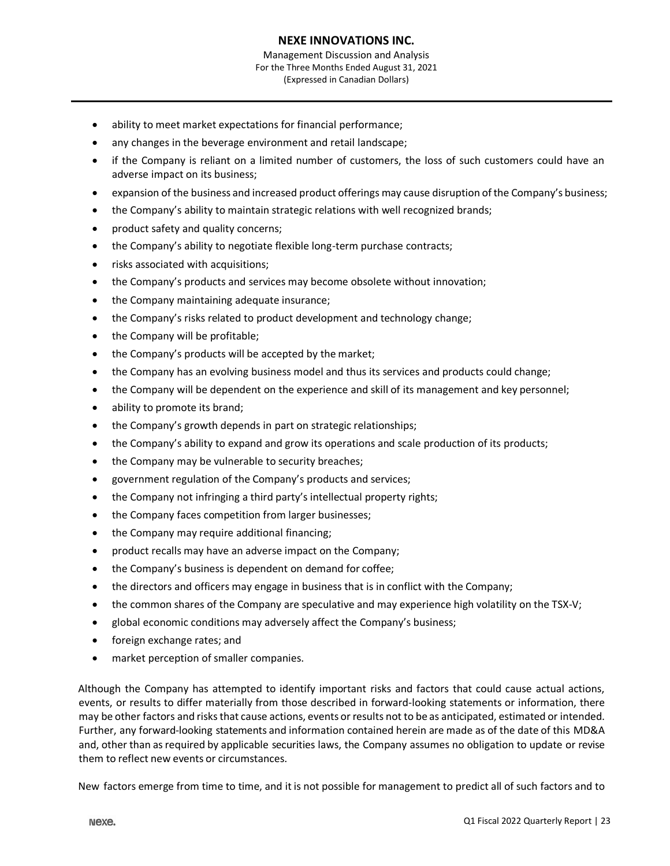- ability to meet market expectations for financial performance;
- any changes in the beverage environment and retail landscape;
- if the Company is reliant on a limited number of customers, the loss of such customers could have an adverse impact on its business;
- expansion of the business and increased product offerings may cause disruption of the Company's business;
- the Company's ability to maintain strategic relations with well recognized brands;
- product safety and quality concerns;
- the Company's ability to negotiate flexible long-term purchase contracts;
- risks associated with acquisitions;
- the Company's products and services may become obsolete without innovation;
- the Company maintaining adequate insurance;
- the Company's risks related to product development and technology change;
- the Company will be profitable;
- the Company's products will be accepted by the market;
- the Company has an evolving business model and thus its services and products could change;
- the Company will be dependent on the experience and skill of its management and key personnel;
- ability to promote its brand;
- the Company's growth depends in part on strategic relationships;
- the Company's ability to expand and grow its operations and scale production of its products;
- the Company may be vulnerable to security breaches;
- government regulation of the Company's products and services;
- the Company not infringing a third party's intellectual property rights;
- the Company faces competition from larger businesses;
- the Company may require additional financing;
- product recalls may have an adverse impact on the Company;
- the Company's business is dependent on demand for coffee;
- the directors and officers may engage in business that is in conflict with the Company;
- the common shares of the Company are speculative and may experience high volatility on the TSX-V;
- global economic conditions may adversely affect the Company's business;
- foreign exchange rates; and
- market perception of smaller companies.

Although the Company has attempted to identify important risks and factors that could cause actual actions, events, or results to differ materially from those described in forward-looking statements or information, there may be other factors and risksthat cause actions, events or results not to be as anticipated, estimated or intended. Further, any forward-looking statements and information contained herein are made as of the date of this MD&A and, other than asrequired by applicable securities laws, the Company assumes no obligation to update or revise them to reflect new events or circumstances.

New factors emerge from time to time, and it is not possible for management to predict all of such factors and to